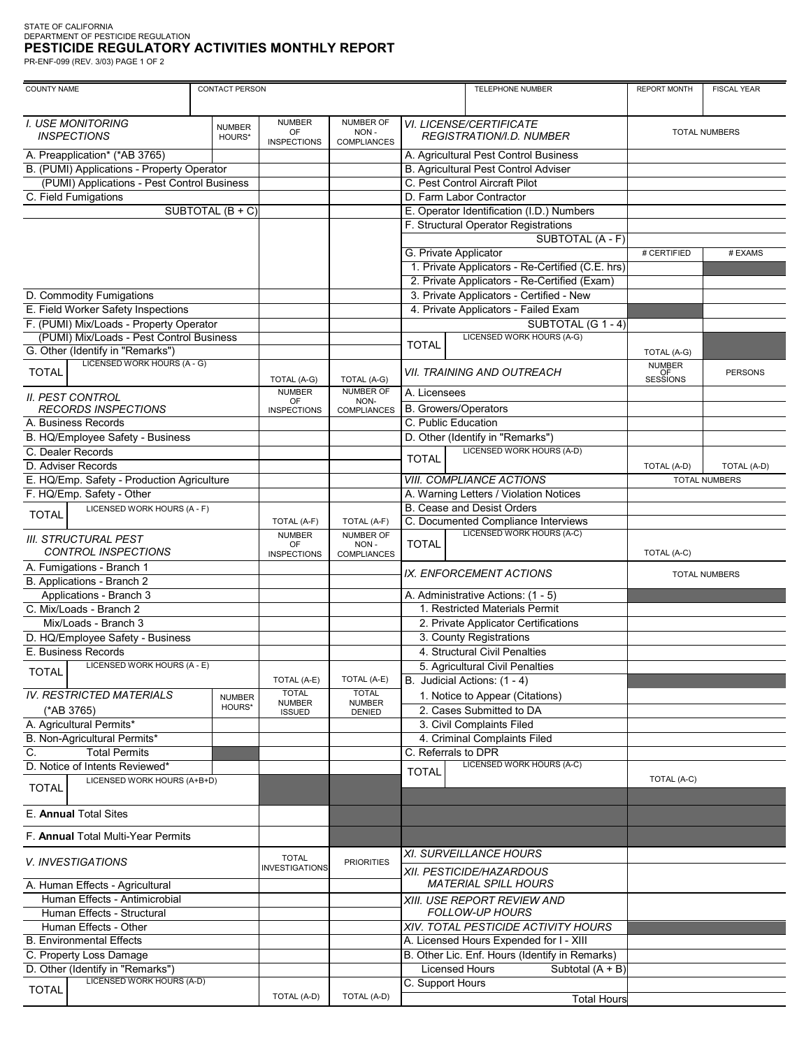## STATE OF CALIFORNIA<br>DEPARTMENT OF PESTICIDE REGULATION<br>**PESTICIDE REGULATORY ACTIVITIES MONTHLY REPORT**

PR-ENF-099 (REV. 3/03) PAGE 1 OF 2

| <b>COUNTY NAME</b>                                               |                         | <b>CONTACT PERSON</b><br>TELEPHONE NUMBER |                                                |                                                            |                                                         |                      | <b>FISCAL YEAR</b>   |
|------------------------------------------------------------------|-------------------------|-------------------------------------------|------------------------------------------------|------------------------------------------------------------|---------------------------------------------------------|----------------------|----------------------|
|                                                                  |                         |                                           |                                                |                                                            |                                                         |                      |                      |
| <b>I. USE MONITORING</b><br><b>INSPECTIONS</b>                   | <b>NUMBER</b><br>HOURS* | <b>NUMBER</b><br>OF<br><b>INSPECTIONS</b> | <b>NUMBER OF</b><br>NON-<br><b>COMPLIANCES</b> | VI. LICENSE/CERTIFICATE<br><b>REGISTRATION/I.D. NUMBER</b> |                                                         | <b>TOTAL NUMBERS</b> |                      |
| A. Preapplication* (*AB 3765)                                    |                         |                                           |                                                | A. Agricultural Pest Control Business                      |                                                         |                      |                      |
| B. (PUMI) Applications - Property Operator                       |                         |                                           |                                                | B. Agricultural Pest Control Adviser                       |                                                         |                      |                      |
| (PUMI) Applications - Pest Control Business                      |                         |                                           |                                                | C. Pest Control Aircraft Pilot                             |                                                         |                      |                      |
| C. Field Fumigations                                             |                         |                                           |                                                | D. Farm Labor Contractor                                   |                                                         |                      |                      |
|                                                                  | SUBTOTAL (B + C)        |                                           |                                                | E. Operator Identification (I.D.) Numbers                  |                                                         |                      |                      |
|                                                                  |                         |                                           |                                                | F. Structural Operator Registrations                       |                                                         |                      |                      |
|                                                                  |                         |                                           |                                                |                                                            | SUBTOTAL (A - F)                                        |                      |                      |
|                                                                  |                         |                                           |                                                | G. Private Applicator                                      |                                                         | # CERTIFIED          | # EXAMS              |
|                                                                  |                         |                                           |                                                | 1. Private Applicators - Re-Certified (C.E. hrs)           |                                                         |                      |                      |
|                                                                  |                         |                                           |                                                | 2. Private Applicators - Re-Certified (Exam)               |                                                         |                      |                      |
| D. Commodity Fumigations                                         |                         |                                           |                                                | 3. Private Applicators - Certified - New                   |                                                         |                      |                      |
| E. Field Worker Safety Inspections                               |                         |                                           |                                                | 4. Private Applicators - Failed Exam                       |                                                         |                      |                      |
| F. (PUMI) Mix/Loads - Property Operator                          |                         |                                           |                                                |                                                            | SUBTOTAL (G 1 - 4)                                      |                      |                      |
| (PUMI) Mix/Loads - Pest Control Business                         |                         |                                           |                                                | <b>LICENSED WORK HOURS (A-G)</b>                           |                                                         |                      |                      |
| G. Other (Identify in "Remarks")                                 |                         |                                           |                                                | <b>TOTAL</b>                                               |                                                         | TOTAL (A-G)          |                      |
| LICENSED WORK HOURS (A - G)                                      |                         |                                           |                                                |                                                            |                                                         | <b>NUMBER</b>        |                      |
| <b>TOTAL</b>                                                     |                         | TOTAL (A-G)                               | TOTAL (A-G)                                    | <b>VII. TRAINING AND OUTREACH</b>                          |                                                         | OF<br>SESSIONS       | <b>PERSONS</b>       |
|                                                                  |                         | <b>NUMBER</b>                             | NUMBER OF                                      | A. Licensees                                               |                                                         |                      |                      |
| <b>II. PEST CONTROL</b>                                          |                         | OF                                        | NON-                                           |                                                            |                                                         |                      |                      |
| <b>RECORDS INSPECTIONS</b>                                       |                         | <b>INSPECTIONS</b>                        | <b>COMPLIANCES</b>                             | <b>B.</b> Growers/Operators<br>C. Public Education         |                                                         |                      |                      |
| A. Business Records                                              |                         |                                           |                                                |                                                            |                                                         |                      |                      |
| B. HQ/Employee Safety - Business                                 |                         |                                           |                                                |                                                            | D. Other (Identify in "Remarks")                        |                      |                      |
| C. Dealer Records                                                |                         |                                           |                                                | <b>TOTAL</b>                                               | <b>LICENSED WORK HOURS (A-D)</b>                        |                      |                      |
| D. Adviser Records                                               |                         |                                           |                                                |                                                            |                                                         | TOTAL (A-D)          | TOTAL (A-D)          |
| E. HQ/Emp. Safety - Production Agriculture                       |                         |                                           |                                                | <b>VIII. COMPLIANCE ACTIONS</b>                            |                                                         |                      | <b>TOTAL NUMBERS</b> |
| F. HQ/Emp. Safety - Other                                        |                         |                                           |                                                | A. Warning Letters / Violation Notices                     |                                                         |                      |                      |
| LICENSED WORK HOURS (A - F)<br><b>TOTAL</b>                      |                         |                                           |                                                |                                                            | <b>B. Cease and Desist Orders</b>                       |                      |                      |
|                                                                  |                         | TOTAL (A-F)                               | TOTAL (A-F)                                    |                                                            | C. Documented Compliance Interviews                     |                      |                      |
| <b>III. STRUCTURAL PEST</b>                                      |                         | <b>NUMBER</b><br>OF                       | <b>NUMBER OF</b><br>NON-                       | <b>TOTAL</b>                                               | LICENSED WORK HOURS (A-C)                               |                      |                      |
| <b>CONTROL INSPECTIONS</b>                                       |                         | <b>INSPECTIONS</b>                        | COMPLIANCES                                    |                                                            |                                                         | TOTAL (A-C)          |                      |
| A. Fumigations - Branch 1                                        |                         |                                           |                                                |                                                            |                                                         |                      |                      |
| B. Applications - Branch 2                                       |                         |                                           |                                                | IX. ENFORCEMENT ACTIONS                                    |                                                         | <b>TOTAL NUMBERS</b> |                      |
| Applications - Branch 3                                          |                         |                                           |                                                |                                                            | A. Administrative Actions: (1 - 5)                      |                      |                      |
| C. Mix/Loads - Branch 2                                          |                         |                                           |                                                |                                                            | 1. Restricted Materials Permit                          |                      |                      |
| Mix/Loads - Branch 3                                             |                         |                                           |                                                | 2. Private Applicator Certifications                       |                                                         |                      |                      |
| D. HQ/Employee Safety - Business                                 |                         |                                           |                                                | 3. County Registrations                                    |                                                         |                      |                      |
| E. Business Records                                              |                         |                                           |                                                | 4. Structural Civil Penalties                              |                                                         |                      |                      |
| LICENSED WORK HOURS (A - E)                                      |                         |                                           |                                                | 5. Agricultural Civil Penalties                            |                                                         |                      |                      |
| <b>TOTAL</b>                                                     |                         | TOTAL (A-E)                               | TOTAL (A-E)                                    |                                                            | B. Judicial Actions: (1 - 4)                            |                      |                      |
| <b>IV. RESTRICTED MATERIALS</b>                                  |                         | <b>TOTAL</b>                              | <b>TOTAL</b>                                   |                                                            | 1. Notice to Appear (Citations)                         |                      |                      |
| (*AB 3765)                                                       | <b>NUMBER</b><br>HOURS* | <b>NUMBER</b>                             | <b>NUMBER</b>                                  |                                                            | 2. Cases Submitted to DA                                |                      |                      |
| A. Agricultural Permits*                                         |                         | <b>ISSUED</b>                             | DENIED                                         |                                                            |                                                         |                      |                      |
| B. Non-Agricultural Permits*                                     |                         |                                           |                                                |                                                            | 3. Civil Complaints Filed                               |                      |                      |
| C.<br><b>Total Permits</b>                                       |                         |                                           |                                                | C. Referrals to DPR                                        | 4. Criminal Complaints Filed                            |                      |                      |
|                                                                  |                         |                                           |                                                |                                                            | LICENSED WORK HOURS (A-C)                               |                      |                      |
| D. Notice of Intents Reviewed*<br>LICENSED WORK HOURS (A+B+D)    |                         |                                           |                                                | <b>TOTAL</b>                                               |                                                         | TOTAL (A-C)          |                      |
| <b>TOTAL</b>                                                     |                         |                                           |                                                |                                                            |                                                         |                      |                      |
| E. Annual Total Sites                                            |                         |                                           |                                                |                                                            |                                                         |                      |                      |
| F. Annual Total Multi-Year Permits                               |                         |                                           |                                                |                                                            |                                                         |                      |                      |
| <b>V. INVESTIGATIONS</b>                                         |                         | <b>TOTAL</b>                              | <b>PRIORITIES</b>                              |                                                            | XI. SURVEILLANCE HOURS                                  |                      |                      |
|                                                                  |                         | <b>INVESTIGATIONS</b>                     |                                                |                                                            | XII. PESTICIDE/HAZARDOUS<br><b>MATERIAL SPILL HOURS</b> |                      |                      |
| A. Human Effects - Agricultural<br>Human Effects - Antimicrobial |                         |                                           |                                                |                                                            |                                                         |                      |                      |
| Human Effects - Structural                                       |                         |                                           |                                                | XIII. USE REPORT REVIEW AND                                |                                                         |                      |                      |
|                                                                  |                         |                                           |                                                |                                                            | <b>FOLLOW-UP HOURS</b>                                  |                      |                      |
| Human Effects - Other                                            |                         |                                           |                                                |                                                            | XIV. TOTAL PESTICIDE ACTIVITY HOURS                     |                      |                      |
| <b>B. Environmental Effects</b>                                  |                         |                                           |                                                |                                                            | A. Licensed Hours Expended for I - XIII                 |                      |                      |
| C. Property Loss Damage                                          |                         |                                           |                                                |                                                            | B. Other Lic. Enf. Hours (Identify in Remarks)          |                      |                      |
| D. Other (Identify in "Remarks")                                 |                         |                                           |                                                |                                                            | <b>Licensed Hours</b><br>Subtotal (A + B)               |                      |                      |
| LICENSED WORK HOURS (A-D)<br><b>TOTAL</b>                        |                         |                                           |                                                | C. Support Hours                                           |                                                         |                      |                      |
|                                                                  |                         | TOTAL (A-D)                               | TOTAL (A-D)                                    |                                                            | <b>Total Hours</b>                                      |                      |                      |